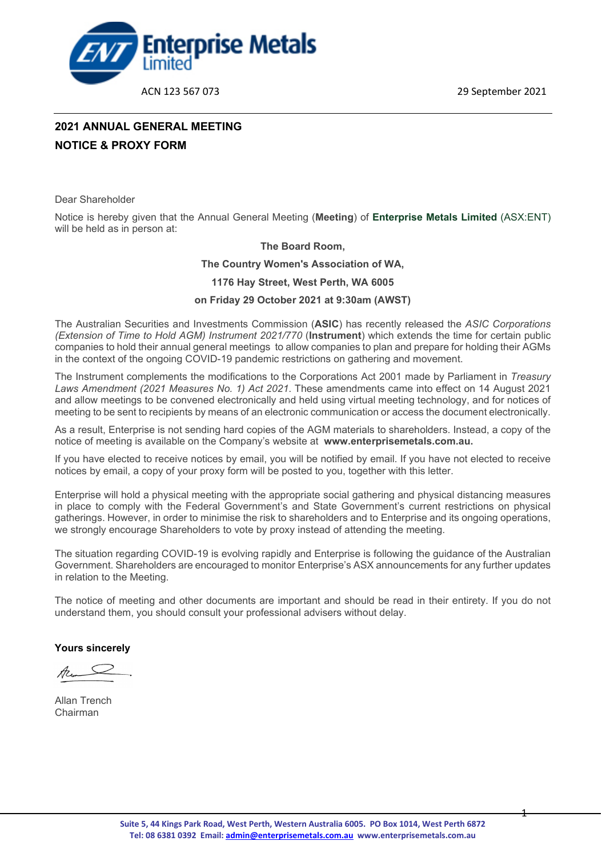ACN 123 567 073 29 September 2021

- 1 -



### **2021 ANNUAL GENERAL MEETING NOTICE & PROXY FORM**

Dear Shareholder

Notice is hereby given that the Annual General Meeting (**Meeting**) of **Enterprise Metals Limited** (ASX:ENT) will be held as in person at:

#### **The Board Room,**

#### **The Country Women's Association of WA,**

**1176 Hay Street, West Perth, WA 6005**

#### **on Friday 29 October 2021 at 9:30am (AWST)**

The Australian Securities and Investments Commission (**ASIC**) has recently released the *ASIC Corporations (Extension of Time to Hold AGM) Instrument 2021/770* (**Instrument**) which extends the time for certain public companies to hold their annual general meetings to allow companies to plan and prepare for holding their AGMs in the context of the ongoing COVID-19 pandemic restrictions on gathering and movement.

The Instrument complements the modifications to the Corporations Act 2001 made by Parliament in *Treasury Laws Amendment (2021 Measures No. 1) Act 2021*. These amendments came into effect on 14 August 2021 and allow meetings to be convened electronically and held using virtual meeting technology, and for notices of meeting to be sent to recipients by means of an electronic communication or access the document electronically.

As a result, Enterprise is not sending hard copies of the AGM materials to shareholders. Instead, a copy of the notice of meeting is available on the Company's website at **www.enterprisemetals.com.au.**

If you have elected to receive notices by email, you will be notified by email. If you have not elected to receive notices by email, a copy of your proxy form will be posted to you, together with this letter.

Enterprise will hold a physical meeting with the appropriate social gathering and physical distancing measures in place to comply with the Federal Government's and State Government's current restrictions on physical gatherings. However, in order to minimise the risk to shareholders and to Enterprise and its ongoing operations, we strongly encourage Shareholders to vote by proxy instead of attending the meeting.

The situation regarding COVID-19 is evolving rapidly and Enterprise is following the guidance of the Australian Government. Shareholders are encouraged to monitor Enterprise's ASX announcements for any further updates in relation to the Meeting.

The notice of meeting and other documents are important and should be read in their entirety. If you do not understand them, you should consult your professional advisers without delay.

**Yours sincerely**

Allan Trench Chairman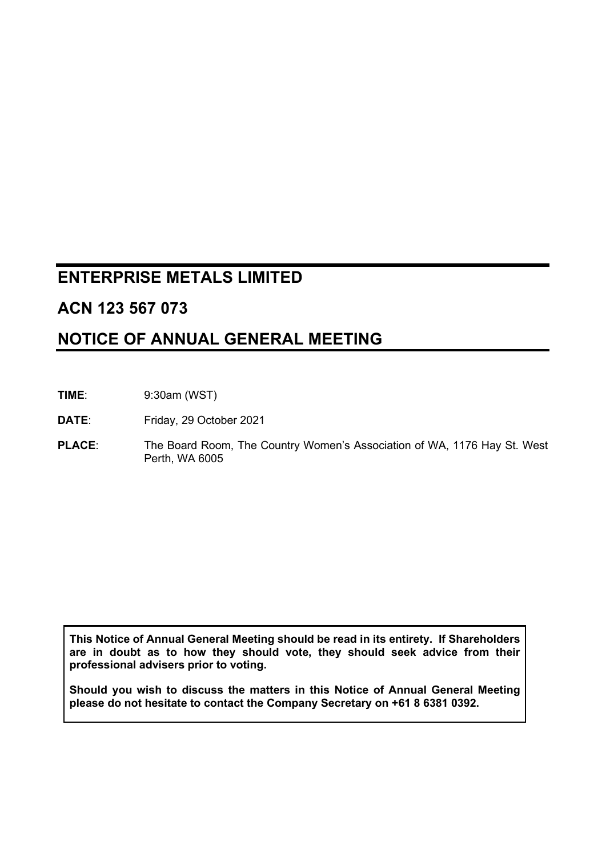### **ENTERPRISE METALS LIMITED**

### **ACN 123 567 073**

### **NOTICE OF ANNUAL GENERAL MEETING**

**TIME**: 9:30am (WST)

**DATE**: Friday, 29 October 2021

**PLACE**: The Board Room, The Country Women's Association of WA, 1176 Hay St. West Perth, WA 6005

**This Notice of Annual General Meeting should be read in its entirety. If Shareholders are in doubt as to how they should vote, they should seek advice from their professional advisers prior to voting.**

**Should you wish to discuss the matters in this Notice of Annual General Meeting please do not hesitate to contact the Company Secretary on +61 8 6381 0392.**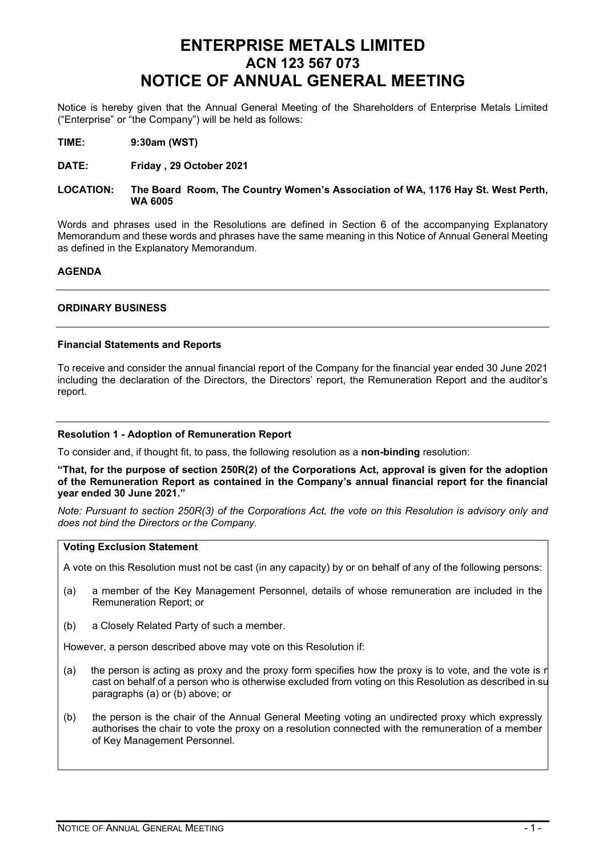### **ENTERPRISE METALS LIMITED ACN 123 567 073 NOTICE OF ANNUAL GENERAL MEETING**

Notice is hereby given that the Annual General Meeting of the Shareholders of Enterprise Metals Limited ("Enterprise" or "the Company") will be held as follows:

- **TIME: 9:30am (WST)**
- **DATE: Friday , 29 October 2021**

#### **LOCATION: The Board Room, The Country Women's Association of WA, 1176 Hay St. West Perth, WA 6005**

Words and phrases used in the Resolutions are defined in Section 6 of the accompanying Explanatory Memorandum and these words and phrases have the same meaning in this Notice of Annual General Meeting as defined in the Explanatory Memorandum.

#### **AGENDA**

#### **ORDINARY BUSINESS**

#### **Financial Statements and Reports**

To receive and consider the annual financial report of the Company for the financial year ended 30 June 2021 including the declaration of the Directors, the Directors' report, the Remuneration Report and the auditor's report.

#### **Resolution 1 - Adoption of Remuneration Report**

To consider and, if thought fit, to pass, the following resolution as a **non-binding** resolution:

#### **"That, for the purpose of section 250R(2) of the Corporations Act, approval is given for the adoption of the Remuneration Report as contained in the Company's annual financial report for the financial year ended 30 June 2021."**

*Note: Pursuant to section 250R(3) of the Corporations Act, the vote on this Resolution is advisory only and does not bind the Directors or the Company.*

#### **Voting Exclusion Statement**

A vote on this Resolution must not be cast (in any capacity) by or on behalf of any of the following persons:

- (a) a member of the Key Management Personnel, details of whose remuneration are included in the Remuneration Report; or
- (b) a Closely Related Party of such a member.

However, a person described above may vote on this Resolution if:

- (a) the person is acting as proxy and the proxy form specifies how the proxy is to vote, and the vote is not cast on behalf of a person who is otherwise excluded from voting on this Resolution as described in su paragraphs (a) or (b) above; or
- (b) the person is the chair of the Annual General Meeting voting an undirected proxy which expressly authorises the chair to vote the proxy on a resolution connected with the remuneration of a member of Key Management Personnel.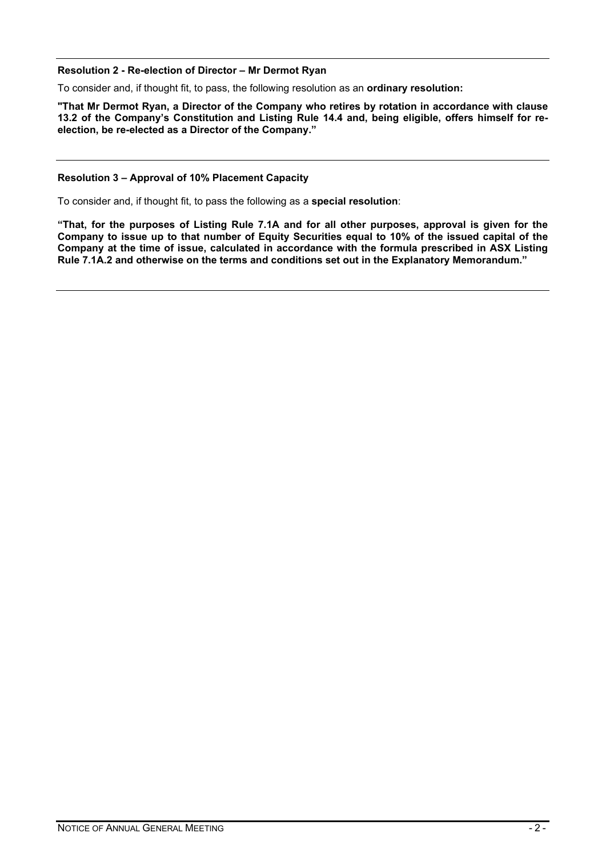#### **Resolution 2 - Re-election of Director – Mr Dermot Ryan**

To consider and, if thought fit, to pass, the following resolution as an **ordinary resolution:**

**"That Mr Dermot Ryan, a Director of the Company who retires by rotation in accordance with clause 13.2 of the Company's Constitution and Listing Rule 14.4 and, being eligible, offers himself for reelection, be re-elected as a Director of the Company."**

#### **Resolution 3 – Approval of 10% Placement Capacity**

To consider and, if thought fit, to pass the following as a **special resolution**:

**"That, for the purposes of Listing Rule 7.1A and for all other purposes, approval is given for the Company to issue up to that number of Equity Securities equal to 10% of the issued capital of the Company at the time of issue, calculated in accordance with the formula prescribed in ASX Listing Rule 7.1A.2 and otherwise on the terms and conditions set out in the Explanatory Memorandum."**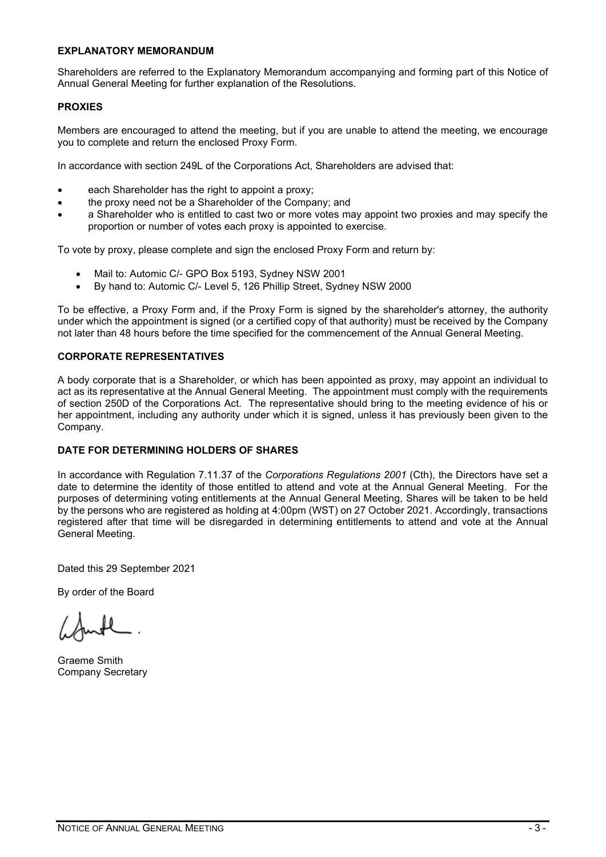#### **EXPLANATORY MEMORANDUM**

Shareholders are referred to the Explanatory Memorandum accompanying and forming part of this Notice of Annual General Meeting for further explanation of the Resolutions.

#### **PROXIES**

Members are encouraged to attend the meeting, but if you are unable to attend the meeting, we encourage you to complete and return the enclosed Proxy Form.

In accordance with section 249L of the Corporations Act, Shareholders are advised that:

- each Shareholder has the right to appoint a proxy;
- the proxy need not be a Shareholder of the Company; and
- a Shareholder who is entitled to cast two or more votes may appoint two proxies and may specify the proportion or number of votes each proxy is appointed to exercise.

To vote by proxy, please complete and sign the enclosed Proxy Form and return by:

- Mail to: Automic C/- GPO Box 5193, Sydney NSW 2001
- By hand to: Automic C/- Level 5, 126 Phillip Street, Sydney NSW 2000

To be effective, a Proxy Form and, if the Proxy Form is signed by the shareholder's attorney, the authority under which the appointment is signed (or a certified copy of that authority) must be received by the Company not later than 48 hours before the time specified for the commencement of the Annual General Meeting.

#### **CORPORATE REPRESENTATIVES**

A body corporate that is a Shareholder, or which has been appointed as proxy, may appoint an individual to act as its representative at the Annual General Meeting. The appointment must comply with the requirements of section 250D of the Corporations Act. The representative should bring to the meeting evidence of his or her appointment, including any authority under which it is signed, unless it has previously been given to the Company.

#### **DATE FOR DETERMINING HOLDERS OF SHARES**

In accordance with Regulation 7.11.37 of the *Corporations Regulations 2001* (Cth), the Directors have set a date to determine the identity of those entitled to attend and vote at the Annual General Meeting. For the purposes of determining voting entitlements at the Annual General Meeting, Shares will be taken to be held by the persons who are registered as holding at 4:00pm (WST) on 27 October 2021. Accordingly, transactions registered after that time will be disregarded in determining entitlements to attend and vote at the Annual General Meeting.

Dated this 29 September 2021

By order of the Board

Graeme Smith Company Secretary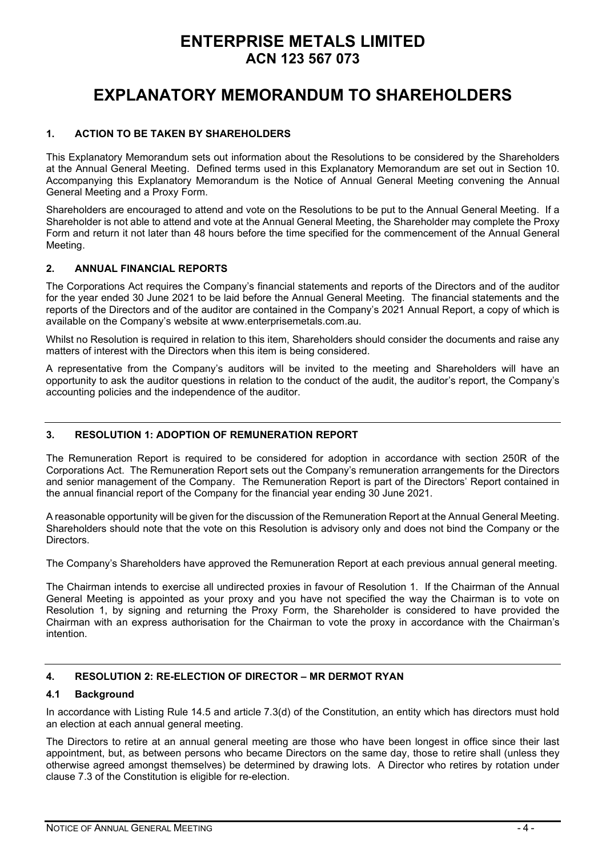### **ENTERPRISE METALS LIMITED ACN 123 567 073**

### **EXPLANATORY MEMORANDUM TO SHAREHOLDERS**

#### **1. ACTION TO BE TAKEN BY SHAREHOLDERS**

This Explanatory Memorandum sets out information about the Resolutions to be considered by the Shareholders at the Annual General Meeting. Defined terms used in this Explanatory Memorandum are set out in Section 10. Accompanying this Explanatory Memorandum is the Notice of Annual General Meeting convening the Annual General Meeting and a Proxy Form.

Shareholders are encouraged to attend and vote on the Resolutions to be put to the Annual General Meeting. If a Shareholder is not able to attend and vote at the Annual General Meeting, the Shareholder may complete the Proxy Form and return it not later than 48 hours before the time specified for the commencement of the Annual General Meeting.

#### **2. ANNUAL FINANCIAL REPORTS**

The Corporations Act requires the Company's financial statements and reports of the Directors and of the auditor for the year ended 30 June 2021 to be laid before the Annual General Meeting. The financial statements and the reports of the Directors and of the auditor are contained in the Company's 2021 Annual Report, a copy of which is available on the Company's website at www.enterprisemetals.com.au.

Whilst no Resolution is required in relation to this item, Shareholders should consider the documents and raise any matters of interest with the Directors when this item is being considered.

A representative from the Company's auditors will be invited to the meeting and Shareholders will have an opportunity to ask the auditor questions in relation to the conduct of the audit, the auditor's report, the Company's accounting policies and the independence of the auditor.

#### **3. RESOLUTION 1: ADOPTION OF REMUNERATION REPORT**

The Remuneration Report is required to be considered for adoption in accordance with section 250R of the Corporations Act. The Remuneration Report sets out the Company's remuneration arrangements for the Directors and senior management of the Company. The Remuneration Report is part of the Directors' Report contained in the annual financial report of the Company for the financial year ending 30 June 2021.

A reasonable opportunity will be given for the discussion of the Remuneration Report at the Annual General Meeting. Shareholders should note that the vote on this Resolution is advisory only and does not bind the Company or the Directors.

The Company's Shareholders have approved the Remuneration Report at each previous annual general meeting.

The Chairman intends to exercise all undirected proxies in favour of Resolution 1. If the Chairman of the Annual General Meeting is appointed as your proxy and you have not specified the way the Chairman is to vote on Resolution 1, by signing and returning the Proxy Form, the Shareholder is considered to have provided the Chairman with an express authorisation for the Chairman to vote the proxy in accordance with the Chairman's intention.

#### **4. RESOLUTION 2: RE-ELECTION OF DIRECTOR – MR DERMOT RYAN**

#### **4.1 Background**

In accordance with Listing Rule 14.5 and article 7.3(d) of the Constitution, an entity which has directors must hold an election at each annual general meeting.

The Directors to retire at an annual general meeting are those who have been longest in office since their last appointment, but, as between persons who became Directors on the same day, those to retire shall (unless they otherwise agreed amongst themselves) be determined by drawing lots. A Director who retires by rotation under clause 7.3 of the Constitution is eligible for re-election.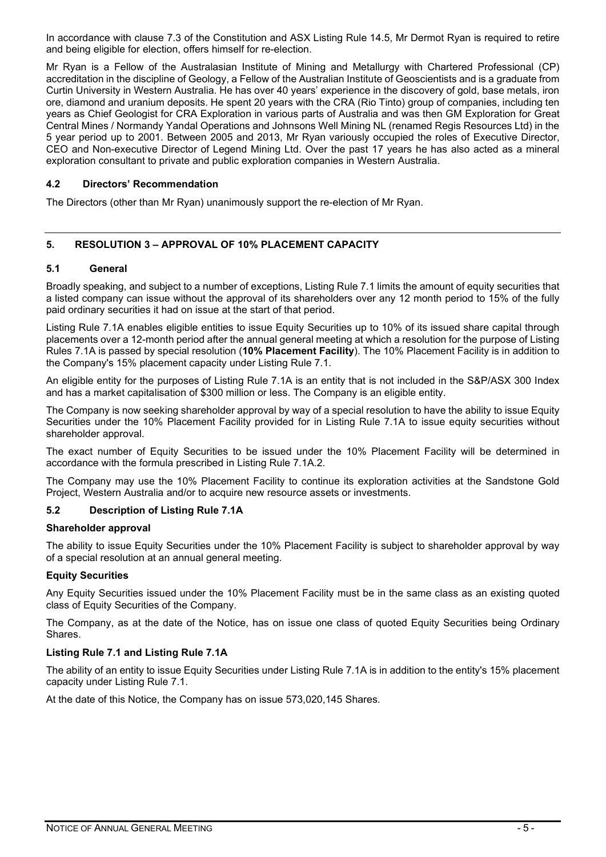In accordance with clause 7.3 of the Constitution and ASX Listing Rule 14.5, Mr Dermot Ryan is required to retire and being eligible for election, offers himself for re-election.

Mr Ryan is a Fellow of the Australasian Institute of Mining and Metallurgy with Chartered Professional (CP) accreditation in the discipline of Geology, a Fellow of the Australian Institute of Geoscientists and is a graduate from Curtin University in Western Australia. He has over 40 years' experience in the discovery of gold, base metals, iron ore, diamond and uranium deposits. He spent 20 years with the CRA (Rio Tinto) group of companies, including ten years as Chief Geologist for CRA Exploration in various parts of Australia and was then GM Exploration for Great Central Mines / Normandy Yandal Operations and Johnsons Well Mining NL (renamed Regis Resources Ltd) in the 5 year period up to 2001. Between 2005 and 2013, Mr Ryan variously occupied the roles of Executive Director, CEO and Non-executive Director of Legend Mining Ltd. Over the past 17 years he has also acted as a mineral exploration consultant to private and public exploration companies in Western Australia.

#### **4.2 Directors' Recommendation**

The Directors (other than Mr Ryan) unanimously support the re-election of Mr Ryan.

#### **5. RESOLUTION 3 – APPROVAL OF 10% PLACEMENT CAPACITY**

#### **5.1 General**

Broadly speaking, and subject to a number of exceptions, Listing Rule 7.1 limits the amount of equity securities that a listed company can issue without the approval of its shareholders over any 12 month period to 15% of the fully paid ordinary securities it had on issue at the start of that period.

Listing Rule 7.1A enables eligible entities to issue Equity Securities up to 10% of its issued share capital through placements over a 12-month period after the annual general meeting at which a resolution for the purpose of Listing Rules 7.1A is passed by special resolution (**10% Placement Facility**). The 10% Placement Facility is in addition to the Company's 15% placement capacity under Listing Rule 7.1.

An eligible entity for the purposes of Listing Rule 7.1A is an entity that is not included in the S&P/ASX 300 Index and has a market capitalisation of \$300 million or less. The Company is an eligible entity.

The Company is now seeking shareholder approval by way of a special resolution to have the ability to issue Equity Securities under the 10% Placement Facility provided for in Listing Rule 7.1A to issue equity securities without shareholder approval.

The exact number of Equity Securities to be issued under the 10% Placement Facility will be determined in accordance with the formula prescribed in Listing Rule 7.1A.2.

The Company may use the 10% Placement Facility to continue its exploration activities at the Sandstone Gold Project, Western Australia and/or to acquire new resource assets or investments.

#### **5.2 Description of Listing Rule 7.1A**

#### **Shareholder approval**

The ability to issue Equity Securities under the 10% Placement Facility is subject to shareholder approval by way of a special resolution at an annual general meeting.

#### **Equity Securities**

Any Equity Securities issued under the 10% Placement Facility must be in the same class as an existing quoted class of Equity Securities of the Company.

The Company, as at the date of the Notice, has on issue one class of quoted Equity Securities being Ordinary Shares.

#### **Listing Rule 7.1 and Listing Rule 7.1A**

The ability of an entity to issue Equity Securities under Listing Rule 7.1A is in addition to the entity's 15% placement capacity under Listing Rule 7.1.

At the date of this Notice, the Company has on issue 573,020,145 Shares.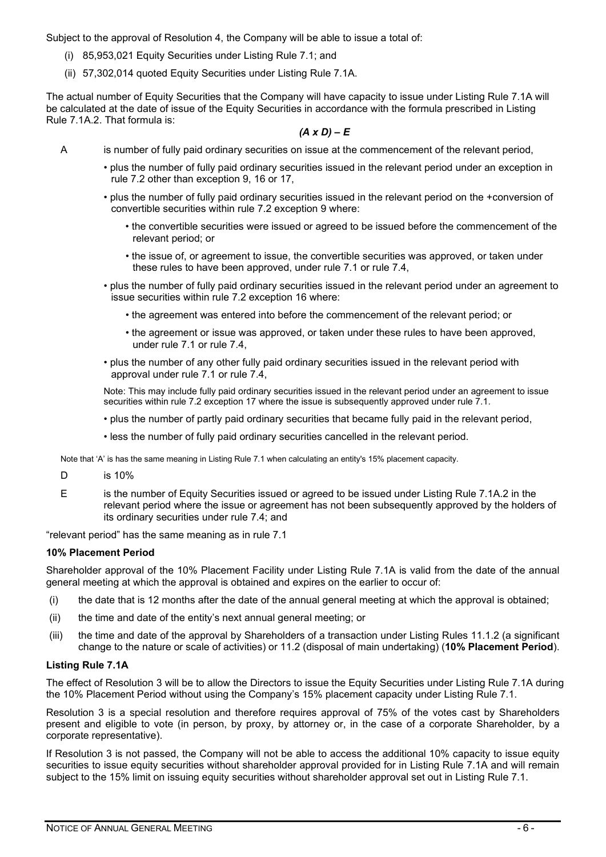Subject to the approval of Resolution 4, the Company will be able to issue a total of:

- (i) 85,953,021 Equity Securities under Listing Rule 7.1; and
- (ii) 57,302,014 quoted Equity Securities under Listing Rule 7.1A.

The actual number of Equity Securities that the Company will have capacity to issue under Listing Rule 7.1A will be calculated at the date of issue of the Equity Securities in accordance with the formula prescribed in Listing Rule 7.1A.2. That formula is:

#### *(A x D) – E*

- A is number of fully paid ordinary securities on issue at the commencement of the relevant period,
	- plus the number of fully paid ordinary securities issued in the relevant period under an exception in rule 7.2 other than exception 9, 16 or 17,
	- plus the number of fully paid ordinary securities issued in the relevant period on the +conversion of convertible securities within rule 7.2 exception 9 where:
		- the convertible securities were issued or agreed to be issued before the commencement of the relevant period; or
		- the issue of, or agreement to issue, the convertible securities was approved, or taken under these rules to have been approved, under rule 7.1 or rule 7.4,
	- plus the number of fully paid ordinary securities issued in the relevant period under an agreement to issue securities within rule 7.2 exception 16 where:
		- the agreement was entered into before the commencement of the relevant period; or
		- the agreement or issue was approved, or taken under these rules to have been approved, under rule 7.1 or rule 7.4,
	- plus the number of any other fully paid ordinary securities issued in the relevant period with approval under rule 7.1 or rule 7.4,

Note: This may include fully paid ordinary securities issued in the relevant period under an agreement to issue securities within rule 7.2 exception 17 where the issue is subsequently approved under rule 7.1.

- plus the number of partly paid ordinary securities that became fully paid in the relevant period,
- less the number of fully paid ordinary securities cancelled in the relevant period.

Note that 'A' is has the same meaning in Listing Rule 7.1 when calculating an entity's 15% placement capacity.

- D is 10%
- E is the number of Equity Securities issued or agreed to be issued under Listing Rule 7.1A.2 in the relevant period where the issue or agreement has not been subsequently approved by the holders of its ordinary securities under rule 7.4; and

"relevant period" has the same meaning as in rule 7.1

#### **10% Placement Period**

Shareholder approval of the 10% Placement Facility under Listing Rule 7.1A is valid from the date of the annual general meeting at which the approval is obtained and expires on the earlier to occur of:

- (i) the date that is 12 months after the date of the annual general meeting at which the approval is obtained;
- (ii) the time and date of the entity's next annual general meeting; or
- (iii) the time and date of the approval by Shareholders of a transaction under Listing Rules 11.1.2 (a significant change to the nature or scale of activities) or 11.2 (disposal of main undertaking) (**10% Placement Period**).

#### **Listing Rule 7.1A**

The effect of Resolution 3 will be to allow the Directors to issue the Equity Securities under Listing Rule 7.1A during the 10% Placement Period without using the Company's 15% placement capacity under Listing Rule 7.1.

Resolution 3 is a special resolution and therefore requires approval of 75% of the votes cast by Shareholders present and eligible to vote (in person, by proxy, by attorney or, in the case of a corporate Shareholder, by a corporate representative).

If Resolution 3 is not passed, the Company will not be able to access the additional 10% capacity to issue equity securities to issue equity securities without shareholder approval provided for in Listing Rule 7.1A and will remain subject to the 15% limit on issuing equity securities without shareholder approval set out in Listing Rule 7.1.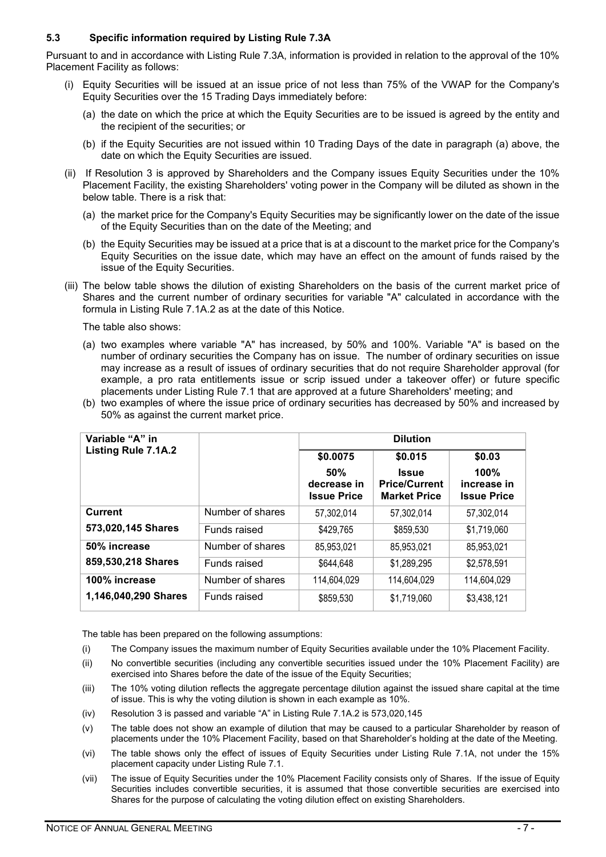#### **5.3 Specific information required by Listing Rule 7.3A**

Pursuant to and in accordance with Listing Rule 7.3A, information is provided in relation to the approval of the 10% Placement Facility as follows:

- (i) Equity Securities will be issued at an issue price of not less than 75% of the VWAP for the Company's Equity Securities over the 15 Trading Days immediately before:
	- (a) the date on which the price at which the Equity Securities are to be issued is agreed by the entity and the recipient of the securities; or
	- (b) if the Equity Securities are not issued within 10 Trading Days of the date in paragraph (a) above, the date on which the Equity Securities are issued.
- (ii) If Resolution 3 is approved by Shareholders and the Company issues Equity Securities under the 10% Placement Facility, the existing Shareholders' voting power in the Company will be diluted as shown in the below table. There is a risk that:
	- (a) the market price for the Company's Equity Securities may be significantly lower on the date of the issue of the Equity Securities than on the date of the Meeting; and
	- (b) the Equity Securities may be issued at a price that is at a discount to the market price for the Company's Equity Securities on the issue date, which may have an effect on the amount of funds raised by the issue of the Equity Securities.
- (iii) The below table shows the dilution of existing Shareholders on the basis of the current market price of Shares and the current number of ordinary securities for variable "A" calculated in accordance with the formula in Listing Rule 7.1A.2 as at the date of this Notice.

The table also shows:

- (a) two examples where variable "A" has increased, by 50% and 100%. Variable "A" is based on the number of ordinary securities the Company has on issue. The number of ordinary securities on issue may increase as a result of issues of ordinary securities that do not require Shareholder approval (for example, a pro rata entitlements issue or scrip issued under a takeover offer) or future specific placements under Listing Rule 7.1 that are approved at a future Shareholders' meeting; and
- (b) two examples of where the issue price of ordinary securities has decreased by 50% and increased by 50% as against the current market price.

| Variable "A" in      |                  |                                          | <b>Dilution</b>                                             |                                           |
|----------------------|------------------|------------------------------------------|-------------------------------------------------------------|-------------------------------------------|
| Listing Rule 7.1A.2  |                  | \$0.0075                                 | \$0.015                                                     | \$0.03                                    |
|                      |                  | 50%<br>decrease in<br><b>Issue Price</b> | <b>Issue</b><br><b>Price/Current</b><br><b>Market Price</b> | 100%<br>increase in<br><b>Issue Price</b> |
| <b>Current</b>       | Number of shares | 57,302,014                               | 57,302,014                                                  | 57,302,014                                |
| 573,020,145 Shares   | Funds raised     | \$429,765                                | \$859,530                                                   | \$1,719,060                               |
| 50% increase         | Number of shares | 85,953,021                               | 85,953,021                                                  | 85,953,021                                |
| 859,530,218 Shares   | Funds raised     | \$644,648                                | \$1,289,295                                                 | \$2,578,591                               |
| 100% increase        | Number of shares | 114,604,029                              | 114,604,029                                                 | 114,604,029                               |
| 1,146,040,290 Shares | Funds raised     | \$859,530                                | \$1,719,060                                                 | \$3,438,121                               |

The table has been prepared on the following assumptions:

- (i) The Company issues the maximum number of Equity Securities available under the 10% Placement Facility.
- (ii) No convertible securities (including any convertible securities issued under the 10% Placement Facility) are exercised into Shares before the date of the issue of the Equity Securities;
- (iii) The 10% voting dilution reflects the aggregate percentage dilution against the issued share capital at the time of issue. This is why the voting dilution is shown in each example as 10%.
- (iv) Resolution 3 is passed and variable "A" in Listing Rule 7.1A.2 is 573,020,145
- (v) The table does not show an example of dilution that may be caused to a particular Shareholder by reason of placements under the 10% Placement Facility, based on that Shareholder's holding at the date of the Meeting.
- (vi) The table shows only the effect of issues of Equity Securities under Listing Rule 7.1A, not under the 15% placement capacity under Listing Rule 7.1.
- (vii) The issue of Equity Securities under the 10% Placement Facility consists only of Shares. If the issue of Equity Securities includes convertible securities, it is assumed that those convertible securities are exercised into Shares for the purpose of calculating the voting dilution effect on existing Shareholders.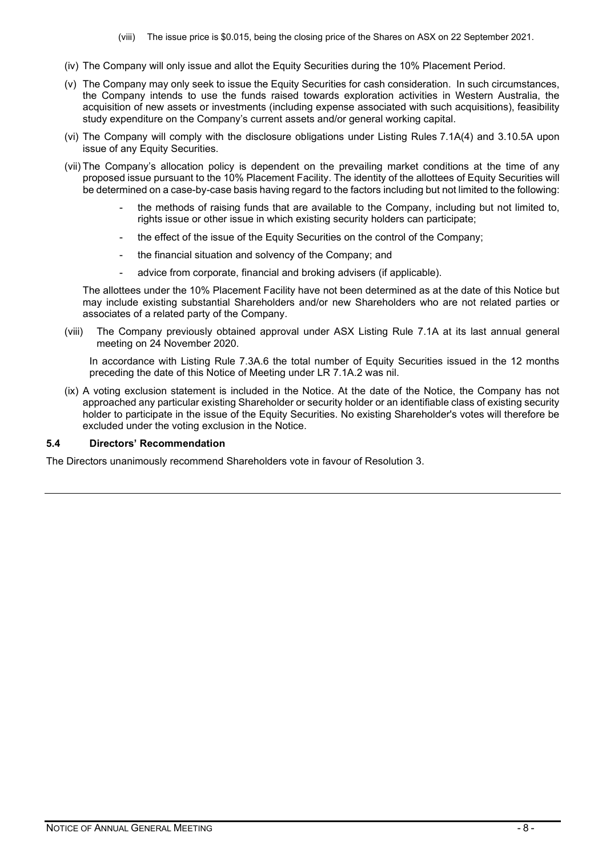(viii) The issue price is \$0.015, being the closing price of the Shares on ASX on 22 September 2021.

- (iv) The Company will only issue and allot the Equity Securities during the 10% Placement Period.
- (v) The Company may only seek to issue the Equity Securities for cash consideration. In such circumstances, the Company intends to use the funds raised towards exploration activities in Western Australia, the acquisition of new assets or investments (including expense associated with such acquisitions), feasibility study expenditure on the Company's current assets and/or general working capital.
- (vi) The Company will comply with the disclosure obligations under Listing Rules 7.1A(4) and 3.10.5A upon issue of any Equity Securities.
- (vii) The Company's allocation policy is dependent on the prevailing market conditions at the time of any proposed issue pursuant to the 10% Placement Facility. The identity of the allottees of Equity Securities will be determined on a case-by-case basis having regard to the factors including but not limited to the following:
	- the methods of raising funds that are available to the Company, including but not limited to, rights issue or other issue in which existing security holders can participate;
	- the effect of the issue of the Equity Securities on the control of the Company;
	- the financial situation and solvency of the Company; and
	- advice from corporate, financial and broking advisers (if applicable).

The allottees under the 10% Placement Facility have not been determined as at the date of this Notice but may include existing substantial Shareholders and/or new Shareholders who are not related parties or associates of a related party of the Company.

(viii) The Company previously obtained approval under ASX Listing Rule 7.1A at its last annual general meeting on 24 November 2020.

In accordance with Listing Rule 7.3A.6 the total number of Equity Securities issued in the 12 months preceding the date of this Notice of Meeting under LR 7.1A.2 was nil.

(ix) A voting exclusion statement is included in the Notice. At the date of the Notice, the Company has not approached any particular existing Shareholder or security holder or an identifiable class of existing security holder to participate in the issue of the Equity Securities. No existing Shareholder's votes will therefore be excluded under the voting exclusion in the Notice.

#### **5.4 Directors' Recommendation**

The Directors unanimously recommend Shareholders vote in favour of Resolution 3.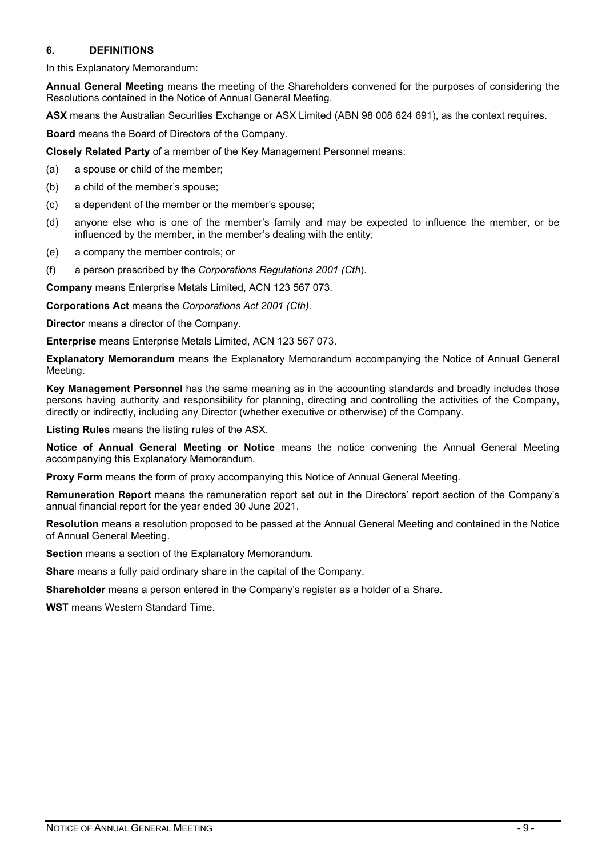#### **6. DEFINITIONS**

In this Explanatory Memorandum:

**Annual General Meeting** means the meeting of the Shareholders convened for the purposes of considering the Resolutions contained in the Notice of Annual General Meeting.

**ASX** means the Australian Securities Exchange or ASX Limited (ABN 98 008 624 691), as the context requires.

**Board** means the Board of Directors of the Company.

**Closely Related Party** of a member of the Key Management Personnel means:

(a) a spouse or child of the member;

- (b) a child of the member's spouse;
- (c) a dependent of the member or the member's spouse;
- (d) anyone else who is one of the member's family and may be expected to influence the member, or be influenced by the member, in the member's dealing with the entity;
- (e) a company the member controls; or
- (f) a person prescribed by the *Corporations Regulations 2001 (Cth*).

**Company** means Enterprise Metals Limited, ACN 123 567 073.

**Corporations Act** means the *Corporations Act 2001 (Cth).*

**Director** means a director of the Company.

**Enterprise** means Enterprise Metals Limited, ACN 123 567 073.

**Explanatory Memorandum** means the Explanatory Memorandum accompanying the Notice of Annual General Meeting.

**Key Management Personnel** has the same meaning as in the accounting standards and broadly includes those persons having authority and responsibility for planning, directing and controlling the activities of the Company, directly or indirectly, including any Director (whether executive or otherwise) of the Company.

**Listing Rules** means the listing rules of the ASX.

**Notice of Annual General Meeting or Notice** means the notice convening the Annual General Meeting accompanying this Explanatory Memorandum.

**Proxy Form** means the form of proxy accompanying this Notice of Annual General Meeting.

**Remuneration Report** means the remuneration report set out in the Directors' report section of the Company's annual financial report for the year ended 30 June 2021.

**Resolution** means a resolution proposed to be passed at the Annual General Meeting and contained in the Notice of Annual General Meeting.

**Section** means a section of the Explanatory Memorandum.

**Share** means a fully paid ordinary share in the capital of the Company.

**Shareholder** means a person entered in the Company's register as a holder of a Share.

**WST** means Western Standard Time.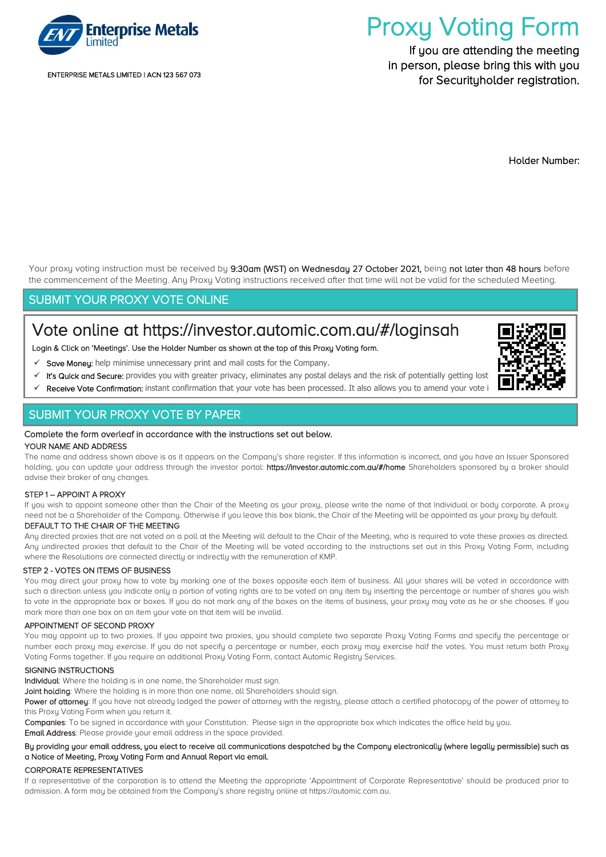

ENTERPRISE METALS LIMITED | ACN 123 567 073

# Proxy Voting Form

If you are attending the meeting in person, please bring this with you for Securituholder registration.

Holder Number:

Your proxy voting instruction must be received by 9:30am (WST) on Wednesday 27 October 2021, being not later than 48 hours before the commencement of the Meeting. Any Proxy Voting instructions received after that time will not be valid for the scheduled Meeting.

### SUBMIT YOUR PROXY VOTE ONLINE

## Vote online at<https://investor.automic.com.au/#/loginsah>

Login & Click on 'Meetings'. Use the Holder Number as shown at the top of this Proxy Voting form.

- Save Money: help minimise unnecessary print and mail costs for the Company.
- It's Quick and Secure: provides you with greater privacy, eliminates any postal delays and the risk of potentially getting lost
- Receive Vote Confirmation: instant confirmation that your vote has been processed. It also allows you to amend your vote i

### SUBMIT YOUR PROXY VOTE BY PAPER

#### Complete the form overleaf in accordance with the instructions set out below.

#### YOUR NAME AND ADDRESS

The name and address shown above is as it appears on the Company's share register. If this information is incorrect, and you have an Issuer Sponsored holding, you can update your address through the investor portal: https://investor.automic.com.au/#/home Shareholders sponsored by a broker should advise their broker of any changes.

#### STEP 1 – APPOINT A PROXY

If you wish to appoint someone other than the Chair of the Meeting as your proxy, please write the name of that Individual or body corporate. A proxy need not be a Shareholder of the Company. Otherwise if you leave this box blank, the Chair of the Meeting will be appointed as your proxy by default.

#### DEFAULT TO THE CHAIR OF THE MEETING

Any directed proxies that are not voted on a poll at the Meeting will default to the Chair of the Meeting, who is required to vote these proxies as directed. Any undirected proxies that default to the Chair of the Meeting will be voted according to the instructions set out in this Proxy Voting Form, including where the Resolutions are connected directly or indirectly with the remuneration of KMP.

#### STEP 2 - VOTES ON ITEMS OF BUSINESS

You may direct your proxy how to vote by marking one of the boxes opposite each item of business. All your shares will be voted in accordance with such a direction unless you indicate only a portion of voting rights are to be voted on any item by inserting the percentage or number of shares you wish to vote in the appropriate box or boxes. If you do not mark any of the boxes on the items of business, your proxy may vote as he or she chooses. If you mark more than one box on an item your vote on that item will be invalid.

#### APPOINTMENT OF SECOND PROXY

You may appoint up to two proxies. If you appoint two proxies, you should complete two separate Proxy Voting Forms and specify the percentage or number each proxy may exercise. If you do not specify a percentage or number, each proxy may exercise half the votes. You must return both Proxy Voting Forms together. If you require an additional Proxy Voting Form, contact Automic Registry Services.

#### SIGNING INSTRUCTIONS

Individual: Where the holding is in one name, the Shareholder must sign.

Joint holding: Where the holding is in more than one name, all Shareholders should sign.

Power of attorney: If you have not already lodged the power of attorney with the registry, please attach a certified photocopy of the power of attorney to this Proxu Voting Form when you return it.

Companies: To be signed in accordance with your Constitution. Please sign in the appropriate box which indicates the office held by you.

Email Address: Please provide your email address in the space provided.

#### By providing your email address, you elect to receive all communications despatched by the Company electronically (where legally permissible) such as a Notice of Meeting, Proxy Voting Form and Annual Report via email.

#### CORPORATE REPRESENTATIVES

If a representative of the corporation is to attend the Meeting the appropriate 'Appointment of Corporate Representative' should be produced prior to admission. A form may be obtained from the Company's share registry online at https://automic.com.au.